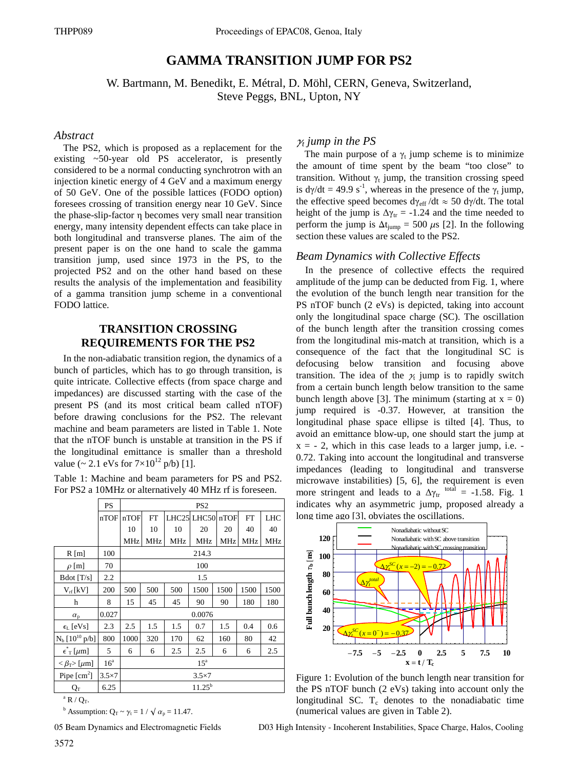# **GAMMA TRANSITION JUMP FOR PS2**

W. Bartmann, M. Benedikt, E. Métral, D. Möhl, CERN, Geneva, Switzerland, Steve Peggs, BNL, Upton, NY

## *Abstract*

The PS2, which is proposed as a replacement for the existing ~50-year old PS accelerator, is presently considered to be a normal conducting synchrotron with an injection kinetic energy of 4 GeV and a maximum energy of 50 GeV. One of the possible lattices (FODO option) foresees crossing of transition energy near 10 GeV. Since the phase-slip-factor η becomes very small near transition energy, many intensity dependent effects can take place in both longitudinal and transverse planes. The aim of the present paper is on the one hand to scale the gamma transition jump, used since 1973 in the PS, to the projected PS2 and on the other hand based on these results the analysis of the implementation and feasibility of a gamma transition jump scheme in a conventional FODO lattice.

# **TRANSITION CROSSING REQUIREMENTS FOR THE PS2**

In the non-adiabatic transition region, the dynamics of a bunch of particles, which has to go through transition, is quite intricate. Collective effects (from space charge and impedances) are discussed starting with the case of the present PS (and its most critical beam called nTOF) before drawing conclusions for the PS2. The relevant machine and beam parameters are listed in Table 1. Note that the nTOF bunch is unstable at transition in the PS if the longitudinal emittance is smaller than a threshold value (~ 2.1 eVs for  $7 \times 10^{12}$  p/b) [1].

Table 1: Machine and beam parameters for PS and PS2. For PS2 a 10MHz or alternatively 40 MHz rf is foreseen.

|                                                 | PS              | PS <sub>2</sub>   |           |     |                  |      |           |            |  |  |  |
|-------------------------------------------------|-----------------|-------------------|-----------|-----|------------------|------|-----------|------------|--|--|--|
|                                                 | nTOF            | nTOF              | <b>FT</b> |     | LHC25 LHC50 nTOF |      | <b>FT</b> | <b>LHC</b> |  |  |  |
|                                                 |                 | 10                | 10        | 10  | 20               | 20   | 40        | 40         |  |  |  |
|                                                 |                 | MHz               | MHz       | MHz | <b>MHz</b>       | MHz  | MHz       | MHz        |  |  |  |
| $R$ [m]                                         | 100             | 214.3             |           |     |                  |      |           |            |  |  |  |
| $\rho$ [m]                                      | 70              | 100               |           |     |                  |      |           |            |  |  |  |
| Bdot [T/s]                                      | 2.2             | 1.5               |           |     |                  |      |           |            |  |  |  |
| $V_{rf}$ [kV]                                   | 200             | 500               | 500       | 500 | 1500             | 1500 | 1500      | 1500       |  |  |  |
| h                                               | 8               | 15                | 45        | 45  | 90               | 90   | 180       | 180        |  |  |  |
| $\alpha_{p}$                                    | 0.027           | 0.0076            |           |     |                  |      |           |            |  |  |  |
| $\epsilon_L$ [eVs]                              | 2.3             | 2.5               | 1.5       | 1.5 | 0.7              | 1.5  | 0.4       | 0.6        |  |  |  |
| $N_b$ [10 <sup>10</sup> p/b]                    | 800             | 1000              | 320       | 170 | 62               | 160  | 80        | 42         |  |  |  |
| $\epsilon$ <sup>r</sup> <sub>T</sub> [ $\mu$ m] | 5               | 6                 | 6         | 2.5 | 2.5              | 6    | 6         | 2.5        |  |  |  |
| $<\beta_{\rm T}$ [ $\mu$ m]                     | 16 <sup>a</sup> | $15^{\mathrm{a}}$ |           |     |                  |      |           |            |  |  |  |
| Pipe $\lceil$ cm <sup>2</sup> $\rceil$          | $3.5\times7$    | $3.5\times7$      |           |     |                  |      |           |            |  |  |  |
| $\rm Q_T$                                       | 6.25            | $11.25^{b}$       |           |     |                  |      |           |            |  |  |  |

 $^{\rm a}$  R / Q<sub>T</sub>.

<sup>b</sup> Assumption:  $Q_T \sim \gamma_t = 1 / \sqrt{\alpha_p} = 11.47$ .

05 Beam Dynamics and Electromagnetic Fields

# $\gamma_t$  jump in the PS

The main purpose of a  $\gamma_t$  jump scheme is to minimize the amount of time spent by the beam "too close" to transition. Without  $\gamma_t$  jump, the transition crossing speed is  $dy/dt = 49.9$  s<sup>-1</sup>, whereas in the presence of the  $\gamma_t$  jump, the effective speed becomes d $\gamma_{\text{eff}}$  /dt  $\approx$  50 d $\gamma$ /dt. The total height of the jump is  $\Delta \gamma_{tr} = -1.24$  and the time needed to perform the jump is  $\Delta t_{jump} = 500 \mu s$  [2]. In the following section these values are scaled to the PS2.

### *Beam Dynamics with Collective Effects*

In the presence of collective effects the required amplitude of the jump can be deducted from Fig. 1, where the evolution of the bunch length near transition for the PS nTOF bunch (2 eVs) is depicted, taking into account only the longitudinal space charge (SC). The oscillation of the bunch length after the transition crossing comes from the longitudinal mis-match at transition, which is a consequence of the fact that the longitudinal SC is defocusing below transition and focusing above transition. The idea of the  $\chi$  jump is to rapidly switch from a certain bunch length below transition to the same bunch length above [3]. The minimum (starting at  $x = 0$ ) jump required is -0.37. However, at transition the longitudinal phase space ellipse is tilted [4]. Thus, to avoid an emittance blow-up, one should start the jump at  $x = -2$ , which in this case leads to a larger jump, i.e. 0.72. Taking into account the longitudinal and transverse impedances (leading to longitudinal and transverse microwave instabilities) [5, 6], the requirement is even more stringent and leads to a  $\Delta \gamma_{tr}$  total = -1.58. Fig. 1 indicates why an asymmetric jump, proposed already a long time ago [3], obviates the oscillations.



Figure 1: Evolution of the bunch length near transition for the PS nTOF bunch (2 eVs) taking into account only the longitudinal SC.  $T_c$  denotes to the nonadiabatic time (numerical values are given in Table 2).

D03 High Intensity - Incoherent Instabilities, Space Charge, Halos, Cooling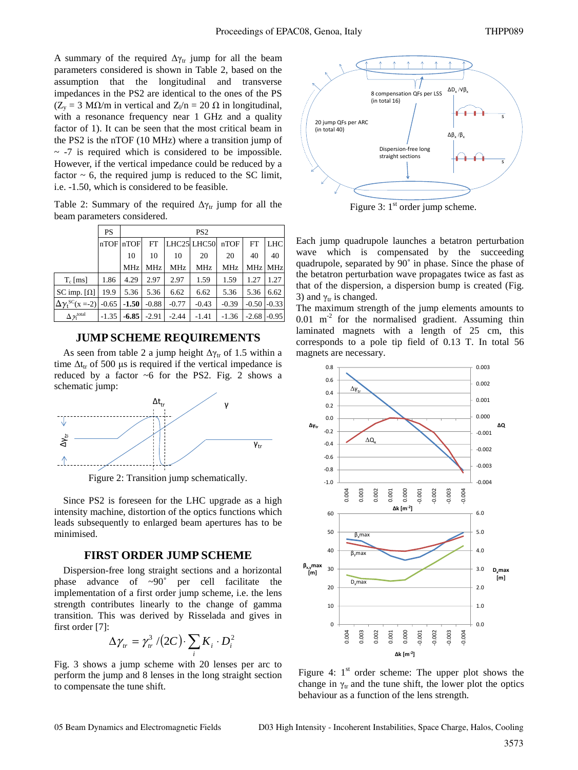A summary of the required  $\Delta \gamma_{tr}$  jump for all the beam parameters considered is shown in Table 2, based on the assumption that the longitudinal and transverse impedances in the PS2 are identical to the ones of the PS  $(Z_v = 3 \text{ M}\Omega/\text{m}$  in vertical and  $Z_l/n = 20 \Omega$  in longitudinal, with a resonance frequency near 1 GHz and a quality factor of 1). It can be seen that the most critical beam in the PS2 is the nTOF (10 MHz) where a transition jump of  $\sim$  -7 is required which is considered to be impossible. However, if the vertical impedance could be reduced by a factor  $\sim$  6, the required jump is reduced to the SC limit, i.e. -1.50, which is considered to be feasible.

Table 2: Summary of the required  $\Delta \gamma_{tr}$  jump for all the beam parameters considered.

|                                   | <b>PS</b> | PS <sub>2</sub> |            |         |             |            |            |            |  |  |
|-----------------------------------|-----------|-----------------|------------|---------|-------------|------------|------------|------------|--|--|
|                                   |           | nTOF nTOF       | <b>FT</b>  |         | LHC25 LHC50 | nTOF       | <b>FT</b>  | <b>LHC</b> |  |  |
|                                   |           | 10              | 10         | 10      | 20          | 20         | 40         | 40         |  |  |
|                                   |           | <b>MHz</b>      | <b>MHz</b> | MHz     | MHz         | <b>MHz</b> | <b>MHz</b> | <b>MHz</b> |  |  |
| $T_c$ [ms]                        | 1.86      | 4.29            | 2.97       | 2.97    | 1.59        | 1.59       | 1.27       | 1.27       |  |  |
| SC imp. $\lceil \Omega \rceil$    | 19.9      | 5.36            | 5.36       | 6.62    | 6.62        | 5.36       | 5.36       | 6.62       |  |  |
| $\Delta \gamma_t^{SC}(x = -2)$    |           | $-0.65$ $-1.50$ | $-0.88$    | $-0.77$ | $-0.43$     | $-0.39$    | $-0.50$    | $-0.33$    |  |  |
| $\Delta \chi_{\rm t}^{\rm total}$ | $-1.35$   | $-6.85$         | $-2.91$    | $-2.44$ | $-1.41$     | $-1.36$    | $-2.68$    | $-0.95$    |  |  |

#### **JUMP SCHEME REQUIREMENTS**

As seen from table 2 a jump height  $\Delta \gamma_{tr}$  of 1.5 within a time  $\Delta t_{tr}$  of 500 μs is required if the vertical impedance is reduced by a factor  $\sim$ 6 for the PS2. Fig. 2 shows a schematic jump:



Figure 2: Transition jump schematically.

Since PS2 is foreseen for the LHC upgrade as a high intensity machine, distortion of the optics functions which leads subsequently to enlarged beam apertures has to be minimised.

#### **FIRST ORDER JUMP SCHEME**

Dispersion-free long straight sections and a horizontal phase advance of ~90˚ per cell facilitate the implementation of a first order jump scheme, i.e. the lens strength contributes linearly to the change of gamma transition. This was derived by Risselada and gives in first order [7]:

$$
\Delta \gamma_{tr} = \gamma_{tr}^3 / (2C) \cdot \sum_i K_i \cdot D_i^2
$$

Fig. 3 shows a jump scheme with 20 lenses per arc to perform the jump and 8 lenses in the long straight section to compensate the tune shift.



Figure 3:  $1<sup>st</sup>$  order jump scheme.

Each jump quadrupole launches a betatron perturbation wave which is compensated by the succeeding quadrupole, separated by 90˚ in phase. Since the phase of the betatron perturbation wave propagates twice as fast as that of the dispersion, a dispersion bump is created (Fig. 3) and  $\gamma_{tr}$  is changed.

The maximum strength of the jump elements amounts to  $0.01$  m<sup>-2</sup> for the normalised gradient. Assuming thin laminated magnets with a length of 25 cm, this corresponds to a pole tip field of 0.13 T. In total 56 magnets are necessary.



Figure 4:  $1<sup>st</sup>$  order scheme: The upper plot shows the change in  $\gamma_{tr}$  and the tune shift, the lower plot the optics behaviour as a function of the lens strength.